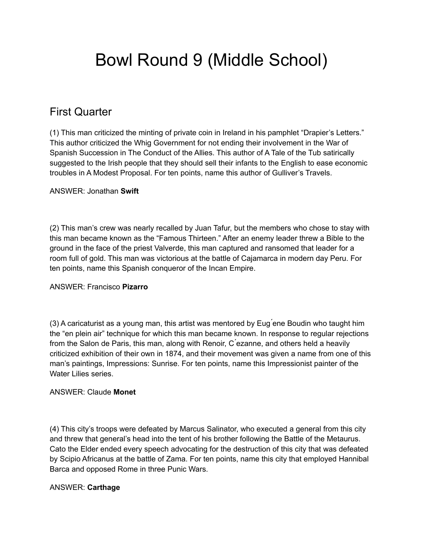# Bowl Round 9 (Middle School)

# First Quarter

(1) This man criticized the minting of private coin in Ireland in his pamphlet "Drapier's Letters." This author criticized the Whig Government for not ending their involvement in the War of Spanish Succession in The Conduct of the Allies. This author of A Tale of the Tub satirically suggested to the Irish people that they should sell their infants to the English to ease economic troubles in A Modest Proposal. For ten points, name this author of Gulliver's Travels.

#### ANSWER: Jonathan **Swift**

(2) This man's crew was nearly recalled by Juan Tafur, but the members who chose to stay with this man became known as the "Famous Thirteen." After an enemy leader threw a Bible to the ground in the face of the priest Valverde, this man captured and ransomed that leader for a room full of gold. This man was victorious at the battle of Cajamarca in modern day Peru. For ten points, name this Spanish conqueror of the Incan Empire.

#### ANSWER: Francisco **Pizarro**

(3) A caricaturist as a young man, this artist was mentored by Eug ́ene Boudin who taught him the "en plein air" technique for which this man became known. In response to regular rejections from the Salon de Paris, this man, along with Renoir, C ́ezanne, and others held a heavily criticized exhibition of their own in 1874, and their movement was given a name from one of this man's paintings, Impressions: Sunrise. For ten points, name this Impressionist painter of the Water Lilies series.

#### ANSWER: Claude **Monet**

(4) This city's troops were defeated by Marcus Salinator, who executed a general from this city and threw that general's head into the tent of his brother following the Battle of the Metaurus. Cato the Elder ended every speech advocating for the destruction of this city that was defeated by Scipio Africanus at the battle of Zama. For ten points, name this city that employed Hannibal Barca and opposed Rome in three Punic Wars.

# ANSWER: **Carthage**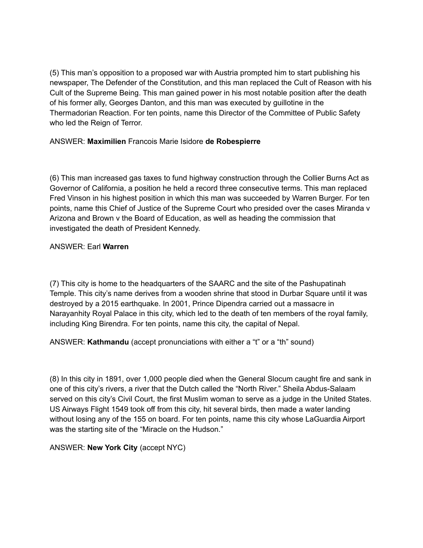(5) This man's opposition to a proposed war with Austria prompted him to start publishing his newspaper, The Defender of the Constitution, and this man replaced the Cult of Reason with his Cult of the Supreme Being. This man gained power in his most notable position after the death of his former ally, Georges Danton, and this man was executed by guillotine in the Thermadorian Reaction. For ten points, name this Director of the Committee of Public Safety who led the Reign of Terror.

#### ANSWER: **Maximilien** Francois Marie Isidore **de Robespierre**

(6) This man increased gas taxes to fund highway construction through the Collier Burns Act as Governor of California, a position he held a record three consecutive terms. This man replaced Fred Vinson in his highest position in which this man was succeeded by Warren Burger. For ten points, name this Chief of Justice of the Supreme Court who presided over the cases Miranda v Arizona and Brown v the Board of Education, as well as heading the commission that investigated the death of President Kennedy.

#### ANSWER: Earl **Warren**

(7) This city is home to the headquarters of the SAARC and the site of the Pashupatinah Temple. This city's name derives from a wooden shrine that stood in Durbar Square until it was destroyed by a 2015 earthquake. In 2001, Prince Dipendra carried out a massacre in Narayanhity Royal Palace in this city, which led to the death of ten members of the royal family, including King Birendra. For ten points, name this city, the capital of Nepal.

ANSWER: **Kathmandu** (accept pronunciations with either a "t" or a "th" sound)

(8) In this city in 1891, over 1,000 people died when the General Slocum caught fire and sank in one of this city's rivers, a river that the Dutch called the "North River." Sheila Abdus-Salaam served on this city's Civil Court, the first Muslim woman to serve as a judge in the United States. US Airways Flight 1549 took off from this city, hit several birds, then made a water landing without losing any of the 155 on board. For ten points, name this city whose LaGuardia Airport was the starting site of the "Miracle on the Hudson."

ANSWER: **New York City** (accept NYC)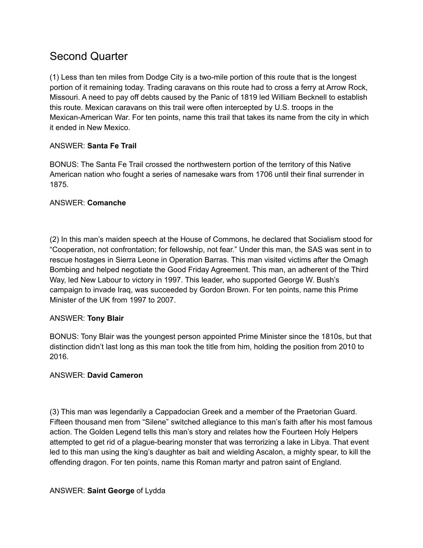# Second Quarter

(1) Less than ten miles from Dodge City is a two-mile portion of this route that is the longest portion of it remaining today. Trading caravans on this route had to cross a ferry at Arrow Rock, Missouri. A need to pay off debts caused by the Panic of 1819 led William Becknell to establish this route. Mexican caravans on this trail were often intercepted by U.S. troops in the Mexican-American War. For ten points, name this trail that takes its name from the city in which it ended in New Mexico.

# ANSWER: **Santa Fe Trail**

BONUS: The Santa Fe Trail crossed the northwestern portion of the territory of this Native American nation who fought a series of namesake wars from 1706 until their final surrender in 1875.

# ANSWER: **Comanche**

(2) In this man's maiden speech at the House of Commons, he declared that Socialism stood for "Cooperation, not confrontation; for fellowship, not fear." Under this man, the SAS was sent in to rescue hostages in Sierra Leone in Operation Barras. This man visited victims after the Omagh Bombing and helped negotiate the Good Friday Agreement. This man, an adherent of the Third Way, led New Labour to victory in 1997. This leader, who supported George W. Bush's campaign to invade Iraq, was succeeded by Gordon Brown. For ten points, name this Prime Minister of the UK from 1997 to 2007.

# ANSWER: **Tony Blair**

BONUS: Tony Blair was the youngest person appointed Prime Minister since the 1810s, but that distinction didn't last long as this man took the title from him, holding the position from 2010 to 2016.

# ANSWER: **David Cameron**

(3) This man was legendarily a Cappadocian Greek and a member of the Praetorian Guard. Fifteen thousand men from "Silene" switched allegiance to this man's faith after his most famous action. The Golden Legend tells this man's story and relates how the Fourteen Holy Helpers attempted to get rid of a plague-bearing monster that was terrorizing a lake in Libya. That event led to this man using the king's daughter as bait and wielding Ascalon, a mighty spear, to kill the offending dragon. For ten points, name this Roman martyr and patron saint of England.

# ANSWER: **Saint George** of Lydda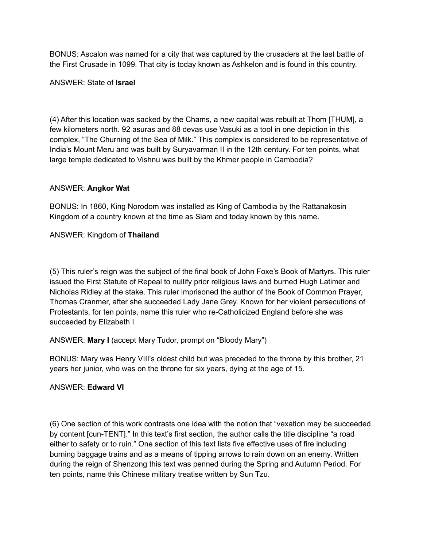BONUS: Ascalon was named for a city that was captured by the crusaders at the last battle of the First Crusade in 1099. That city is today known as Ashkelon and is found in this country.

#### ANSWER: State of **Israel**

(4) After this location was sacked by the Chams, a new capital was rebuilt at Thom [THUM], a few kilometers north. 92 asuras and 88 devas use Vasuki as a tool in one depiction in this complex, "The Churning of the Sea of Milk." This complex is considered to be representative of India's Mount Meru and was built by Suryavarman II in the 12th century. For ten points, what large temple dedicated to Vishnu was built by the Khmer people in Cambodia?

#### ANSWER: **Angkor Wat**

BONUS: In 1860, King Norodom was installed as King of Cambodia by the Rattanakosin Kingdom of a country known at the time as Siam and today known by this name.

# ANSWER: Kingdom of **Thailand**

(5) This ruler's reign was the subject of the final book of John Foxe's Book of Martyrs. This ruler issued the First Statute of Repeal to nullify prior religious laws and burned Hugh Latimer and Nicholas Ridley at the stake. This ruler imprisoned the author of the Book of Common Prayer, Thomas Cranmer, after she succeeded Lady Jane Grey. Known for her violent persecutions of Protestants, for ten points, name this ruler who re-Catholicized England before she was succeeded by Elizabeth I

# ANSWER: **Mary I** (accept Mary Tudor, prompt on "Bloody Mary")

BONUS: Mary was Henry VIII's oldest child but was preceded to the throne by this brother, 21 years her junior, who was on the throne for six years, dying at the age of 15.

#### ANSWER: **Edward VI**

(6) One section of this work contrasts one idea with the notion that "vexation may be succeeded by content [cun-TENT]." In this text's first section, the author calls the title discipline "a road either to safety or to ruin." One section of this text lists five effective uses of fire including burning baggage trains and as a means of tipping arrows to rain down on an enemy. Written during the reign of Shenzong this text was penned during the Spring and Autumn Period. For ten points, name this Chinese military treatise written by Sun Tzu.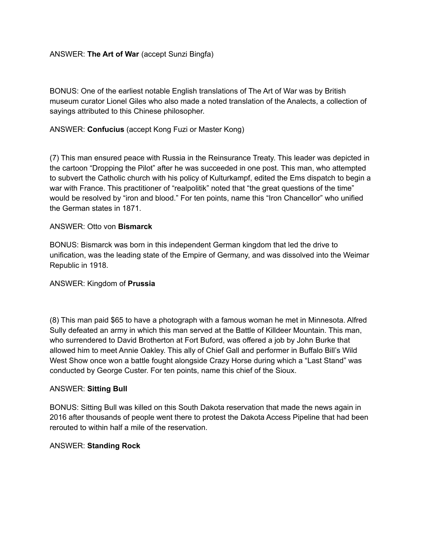#### ANSWER: **The Art of War** (accept Sunzi Bingfa)

BONUS: One of the earliest notable English translations of The Art of War was by British museum curator Lionel Giles who also made a noted translation of the Analects, a collection of sayings attributed to this Chinese philosopher.

#### ANSWER: **Confucius** (accept Kong Fuzi or Master Kong)

(7) This man ensured peace with Russia in the Reinsurance Treaty. This leader was depicted in the cartoon "Dropping the Pilot" after he was succeeded in one post. This man, who attempted to subvert the Catholic church with his policy of Kulturkampf, edited the Ems dispatch to begin a war with France. This practitioner of "realpolitik" noted that "the great questions of the time" would be resolved by "iron and blood." For ten points, name this "Iron Chancellor" who unified the German states in 1871.

#### ANSWER: Otto von **Bismarck**

BONUS: Bismarck was born in this independent German kingdom that led the drive to unification, was the leading state of the Empire of Germany, and was dissolved into the Weimar Republic in 1918.

#### ANSWER: Kingdom of **Prussia**

(8) This man paid \$65 to have a photograph with a famous woman he met in Minnesota. Alfred Sully defeated an army in which this man served at the Battle of Killdeer Mountain. This man, who surrendered to David Brotherton at Fort Buford, was offered a job by John Burke that allowed him to meet Annie Oakley. This ally of Chief Gall and performer in Buffalo Bill's Wild West Show once won a battle fought alongside Crazy Horse during which a "Last Stand" was conducted by George Custer. For ten points, name this chief of the Sioux.

#### ANSWER: **Sitting Bull**

BONUS: Sitting Bull was killed on this South Dakota reservation that made the news again in 2016 after thousands of people went there to protest the Dakota Access Pipeline that had been rerouted to within half a mile of the reservation.

#### ANSWER: **Standing Rock**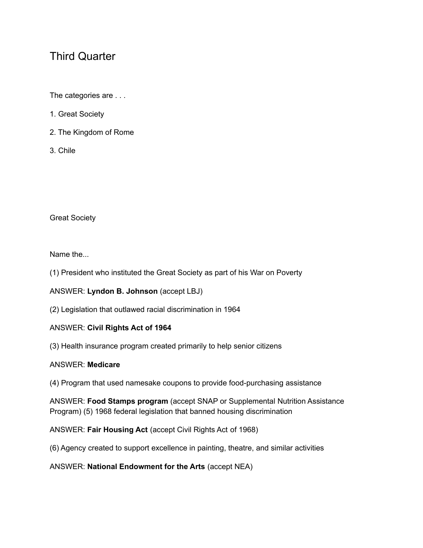# Third Quarter

The categories are . . .

- 1. Great Society
- 2. The Kingdom of Rome
- 3. Chile

Great Society

Name the

- (1) President who instituted the Great Society as part of his War on Poverty
- ANSWER: **Lyndon B. Johnson** (accept LBJ)
- (2) Legislation that outlawed racial discrimination in 1964

# ANSWER: **Civil Rights Act of 1964**

(3) Health insurance program created primarily to help senior citizens

# ANSWER: **Medicare**

(4) Program that used namesake coupons to provide food-purchasing assistance

ANSWER: **Food Stamps program** (accept SNAP or Supplemental Nutrition Assistance Program) (5) 1968 federal legislation that banned housing discrimination

ANSWER: **Fair Housing Act** (accept Civil Rights Act of 1968)

(6) Agency created to support excellence in painting, theatre, and similar activities

ANSWER: **National Endowment for the Arts** (accept NEA)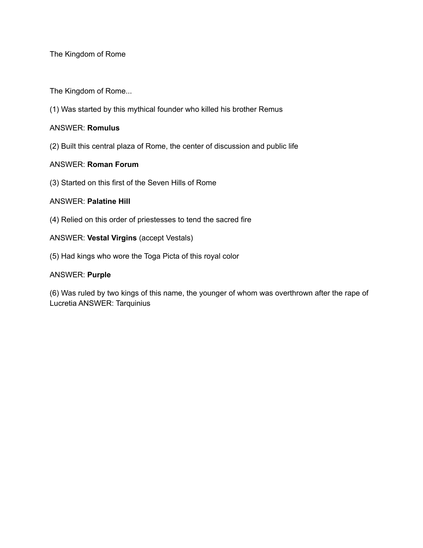The Kingdom of Rome

The Kingdom of Rome...

(1) Was started by this mythical founder who killed his brother Remus

#### ANSWER: **Romulus**

(2) Built this central plaza of Rome, the center of discussion and public life

#### ANSWER: **Roman Forum**

(3) Started on this first of the Seven Hills of Rome

#### ANSWER: **Palatine Hill**

(4) Relied on this order of priestesses to tend the sacred fire

#### ANSWER: **Vestal Virgins** (accept Vestals)

(5) Had kings who wore the Toga Picta of this royal color

#### ANSWER: **Purple**

(6) Was ruled by two kings of this name, the younger of whom was overthrown after the rape of Lucretia ANSWER: Tarquinius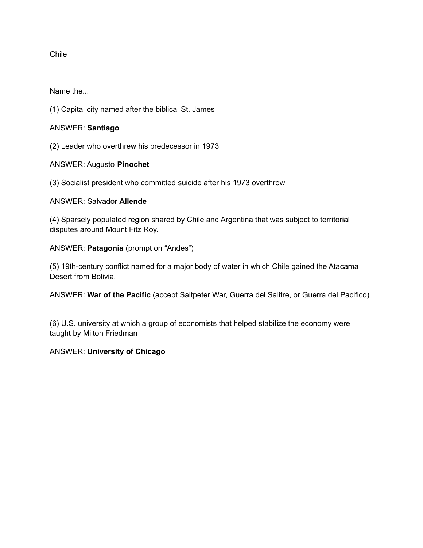Chile

Name the...

(1) Capital city named after the biblical St. James

ANSWER: **Santiago**

(2) Leader who overthrew his predecessor in 1973

ANSWER: Augusto **Pinochet**

(3) Socialist president who committed suicide after his 1973 overthrow

#### ANSWER: Salvador **Allende**

(4) Sparsely populated region shared by Chile and Argentina that was subject to territorial disputes around Mount Fitz Roy.

ANSWER: **Patagonia** (prompt on "Andes")

(5) 19th-century conflict named for a major body of water in which Chile gained the Atacama Desert from Bolivia.

ANSWER: **War of the Pacific** (accept Saltpeter War, Guerra del Salitre, or Guerra del Pacifico)

(6) U.S. university at which a group of economists that helped stabilize the economy were taught by Milton Friedman

# ANSWER: **University of Chicago**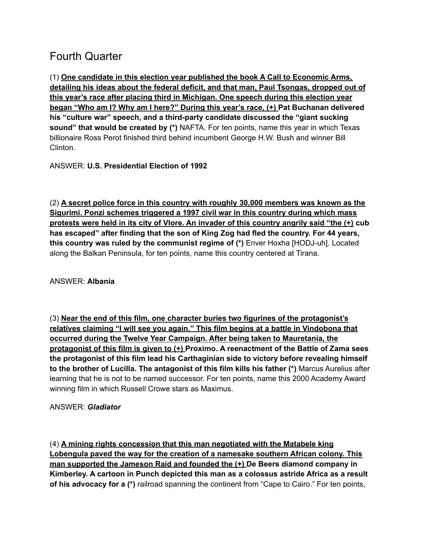# Fourth Quarter

(1) **One candidate in this election year published the book A Call to Economic Arms, detailing his ideas about the federal deficit, and that man, Paul Tsongas, dropped out of this year's race after placing third in Michigan. One speech during this election year began "Who am I? Why am I here?" During this year's race, (+) Pat Buchanan delivered his "culture war" speech, and a third-party candidate discussed the "giant sucking sound" that would be created by (\*)** NAFTA. For ten points, name this year in which Texas billionaire Ross Perot finished third behind incumbent George H.W. Bush and winner Bill Clinton.

ANSWER: **U.S. Presidential Election of 1992**

(2) **A secret police force in this country with roughly 30,000 members was known as the Sigurimi. Ponzi schemes triggered a 1997 civil war in this country during which mass protests were held in its city of Vlore. An invader of this country angrily said "the (+) cub has escaped" after finding that the son of King Zog had fled the country. For 44 years, this country was ruled by the communist regime of (\*)** Enver Hoxha [HODJ-uh]. Located along the Balkan Peninsula, for ten points, name this country centered at Tirana.

ANSWER: **Albania**

(3) **Near the end of this film, one character buries two figurines of the protagonist's relatives claiming "I will see you again." This film begins at a battle in Vindobona that occurred during the Twelve Year Campaign. After being taken to Mauretania, the protagonist of this film is given to (+) Proximo. A reenactment of the Battle of Zama sees the protagonist of this film lead his Carthaginian side to victory before revealing himself to the brother of Lucilla. The antagonist of this film kills his father (\*)** Marcus Aurelius after learning that he is not to be named successor. For ten points, name this 2000 Academy Award winning film in which Russell Crowe stars as Maximus.

# ANSWER: *Gladiator*

(4) **A mining rights concession that this man negotiated with the Matabele king Lobengula paved the way for the creation of a namesake southern African colony. This man supported the Jameson Raid and founded the (+) De Beers diamond company in Kimberley. A cartoon in Punch depicted this man as a colossus astride Africa as a result of his advocacy for a (\*)** railroad spanning the continent from "Cape to Cairo." For ten points,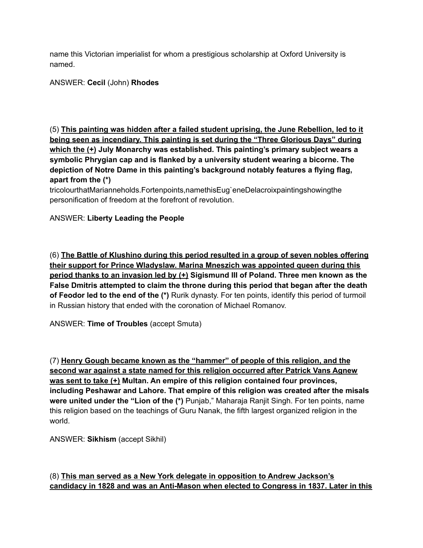name this Victorian imperialist for whom a prestigious scholarship at Oxford University is named.

ANSWER: **Cecil** (John) **Rhodes**

(5) **This painting was hidden after a failed student uprising, the June Rebellion, led to it being seen as incendiary. This painting is set during the "Three Glorious Days" during which the (+) July Monarchy was established. This painting's primary subject wears a symbolic Phrygian cap and is flanked by a university student wearing a bicorne. The depiction of Notre Dame in this painting's background notably features a flying flag, apart from the (\*)**

tricolourthatMarianneholds.Fortenpoints,namethisEug`eneDelacroixpaintingshowingthe personification of freedom at the forefront of revolution.

# ANSWER: **Liberty Leading the People**

(6) **The Battle of Klushino during this period resulted in a group of seven nobles offering their support for Prince Wladyslaw. Marina Mneszich was appointed queen during this period thanks to an invasion led by (+) Sigismund III of Poland. Three men known as the False Dmitris attempted to claim the throne during this period that began after the death of Feodor led to the end of the (\*)** Rurik dynasty. For ten points, identify this period of turmoil in Russian history that ended with the coronation of Michael Romanov.

ANSWER: **Time of Troubles** (accept Smuta)

(7) **Henry Gough became known as the "hammer" of people of this religion, and the second war against a state named for this religion occurred after Patrick Vans Agnew was sent to take (+) Multan. An empire of this religion contained four provinces, including Peshawar and Lahore. That empire of this religion was created after the misals were united under the "Lion of the (\*)** Punjab," Maharaja Ranjit Singh. For ten points, name this religion based on the teachings of Guru Nanak, the fifth largest organized religion in the world.

ANSWER: **Sikhism** (accept Sikhil)

# (8) **This man served as a New York delegate in opposition to Andrew Jackson's candidacy in 1828 and was an Anti-Mason when elected to Congress in 1837. Later in this**